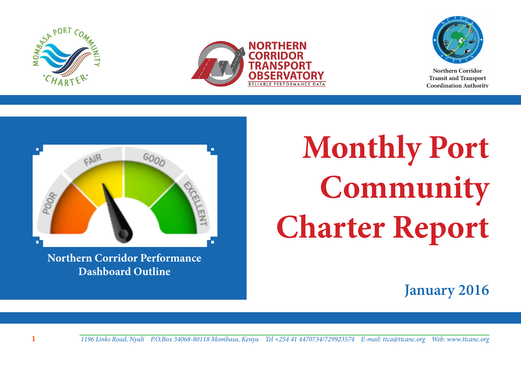





Northern Corridor **Transit and Transport Coordination Authority** 



**Northern Corridor Performance Dashboard Outline**

# **Monthly Port Community Charter Report**

**January 2016**

**1** *1196 Links Road, Nyali P.O.Box 34068-80118 Mombasa, Kenya Tel +254 41 4470734/729923574 E-mail: ttca@ttcanc.org Web: www.ttcanc.org*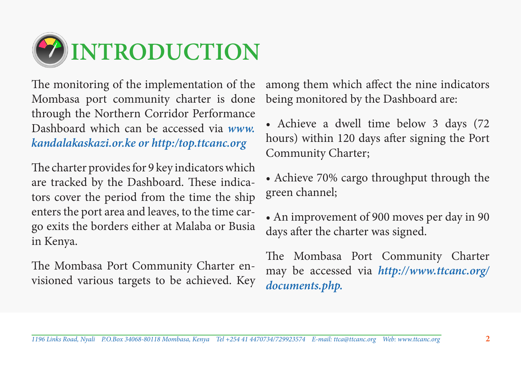

The monitoring of the implementation of the Mombasa port community charter is done through the Northern Corridor Performance Dashboard which can be accessed via *www. kandalakaskazi.or.ke or http:/top.ttcanc.org*

The charter provides for 9 key indicators which are tracked by the Dashboard. These indicators cover the period from the time the ship enters the port area and leaves, to the time cargo exits the borders either at Malaba or Busia in Kenya.

The Mombasa Port Community Charter envisioned various targets to be achieved. Key among them which affect the nine indicators being monitored by the Dashboard are:

• Achieve a dwell time below 3 days (72 hours) within 120 days after signing the Port Community Charter;

• Achieve 70% cargo throughput through the green channel;

• An improvement of 900 moves per day in 90 days after the charter was signed.

The Mombasa Port Community Charter may be accessed via *http://www.ttcanc.org/ documents.php.*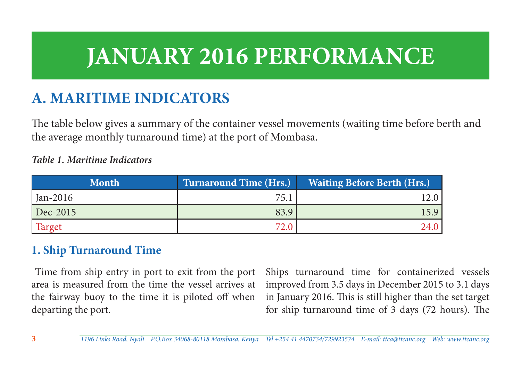## **JANUARY 2016 PERFORMANCE**

## **A. MARITIME INDICATORS**

The table below gives a summary of the container vessel movements (waiting time before berth and the average monthly turnaround time) at the port of Mombasa.

| Month      | <b>Turnaround Time (Hrs.)</b> | <b>Waiting Before Berth (Hrs.)</b> |
|------------|-------------------------------|------------------------------------|
| Jan-2016   | 75.1                          | 12.0                               |
| $Dec-2015$ | 83.9                          | 15.9                               |
| Target     |                               | 24.0                               |

#### *Table 1. Maritime Indicators*

#### **1. Ship Turnaround Time**

 Time from ship entry in port to exit from the port area is measured from the time the vessel arrives at the fairway buoy to the time it is piloted off when departing the port.

Ships turnaround time for containerized vessels improved from 3.5 days in December 2015 to 3.1 days in January 2016. This is still higher than the set target for ship turnaround time of 3 days (72 hours). The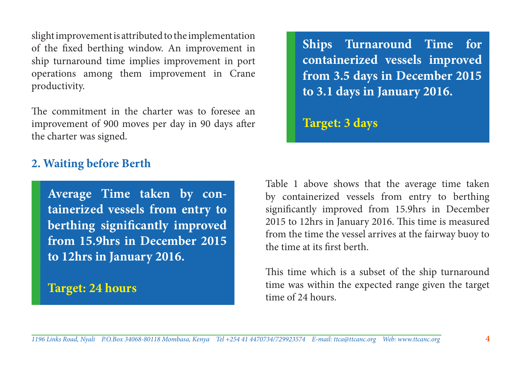slight improvement is attributed to the implementation of the fixed berthing window. An improvement in ship turnaround time implies improvement in port operations among them improvement in Crane productivity.

The commitment in the charter was to foresee an improvement of 900 moves per day in 90 days after the charter was signed.

**Ships Turnaround Time for containerized vessels improved from 3.5 days in December 2015 to 3.1 days in January 2016.**

**Target: 3 days**

#### **2. Waiting before Berth**

**Average Time taken by containerized vessels from entry to berthing significantly improved from 15.9hrs in December 2015 to 12hrs in January 2016.**

**Target: 24 hours**

Table 1 above shows that the average time taken by containerized vessels from entry to berthing significantly improved from 15.9hrs in December 2015 to 12hrs in January 2016. This time is measured from the time the vessel arrives at the fairway buoy to the time at its first berth.

This time which is a subset of the ship turnaround time was within the expected range given the target time of 24 hours.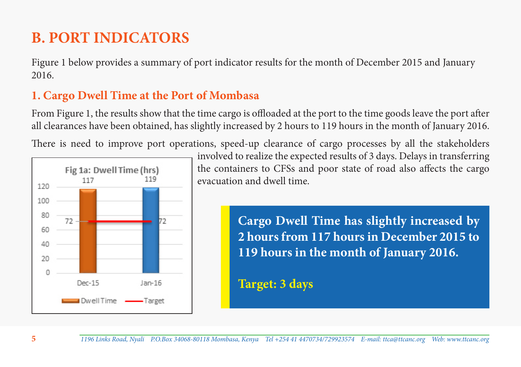### **B. PORT INDICATORS**

Figure 1 below provides a summary of port indicator results for the month of December 2015 and January 2016.

#### **1. Cargo Dwell Time at the Port of Mombasa**

From Figure 1, the results show that the time cargo is offloaded at the port to the time goods leave the port after all clearances have been obtained, has slightly increased by 2 hours to 119 hours in the month of January 2016.

There is need to improve port operations, speed-up clearance of cargo processes by all the stakeholders



involved to realize the expected results of 3 days. Delays in transferring the containers to CFSs and poor state of road also affects the cargo evacuation and dwell time.

> **Cargo Dwell Time has slightly increased by 2 hours from 117 hours in December 2015 to 119 hours in the month of January 2016.**

**Target: 3 days**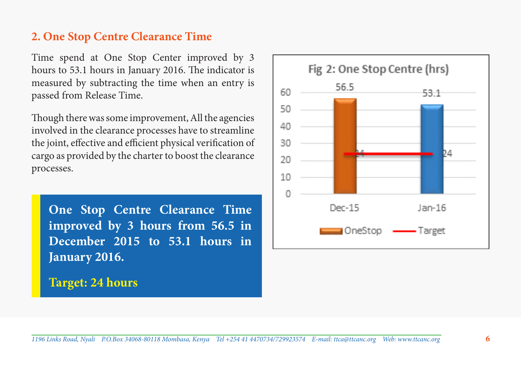#### **2. One Stop Centre Clearance Time**

Time spend at One Stop Center improved by 3 hours to 53.1 hours in January 2016. The indicator is measured by subtracting the time when an entry is passed from Release Time.

Though there was some improvement, All the agencies involved in the clearance processes have to streamline the joint, effective and efficient physical verification of cargo as provided by the charter to boost the clearance processes.

**One Stop Centre Clearance Time improved by 3 hours from 56.5 in December 2015 to 53.1 hours in January 2016.**

**Target: 24 hours**

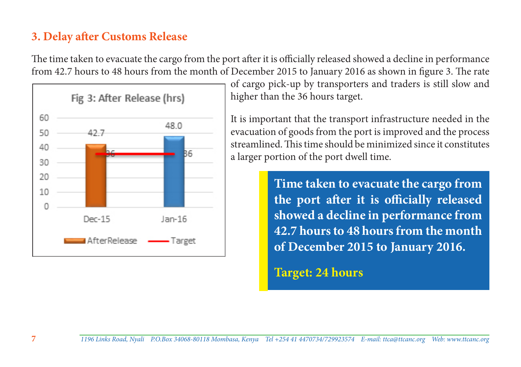#### **3. Delay after Customs Release**

The time taken to evacuate the cargo from the port after it is officially released showed a decline in performance from 42.7 hours to 48 hours from the month of December 2015 to January 2016 as shown in figure 3. The rate



of cargo pick-up by transporters and traders is still slow and higher than the 36 hours target.

It is important that the transport infrastructure needed in the evacuation of goods from the port is improved and the process streamlined. This time should be minimized since it constitutes a larger portion of the port dwell time.

> **Time taken to evacuate the cargo from the port after it is officially released showed a decline in performance from 42.7 hours to 48 hours from the month of December 2015 to January 2016.**

#### **Target: 24 hours**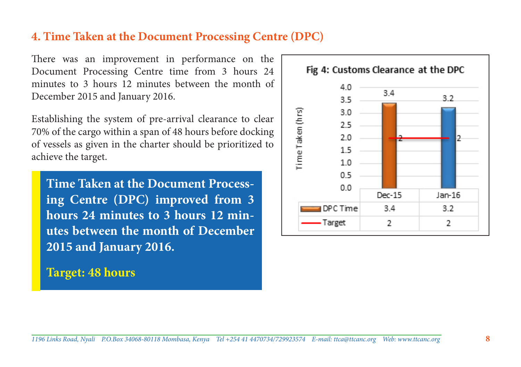#### **4. Time Taken at the Document Processing Centre (DPC)**

There was an improvement in performance on the Document Processing Centre time from 3 hours 24 minutes to 3 hours 12 minutes between the month of December 2015 and January 2016.

Establishing the system of pre-arrival clearance to clear 70% of the cargo within a span of 48 hours before docking of vessels as given in the charter should be prioritized to achieve the target.

**Time Taken at the Document Processing Centre (DPC) improved from 3 hours 24 minutes to 3 hours 12 minutes between the month of December 2015 and January 2016.**

#### **Target: 48 hours**

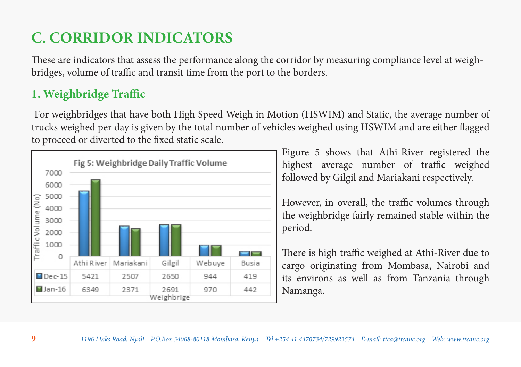## **C. CORRIDOR INDICATORS**

These are indicators that assess the performance along the corridor by measuring compliance level at weighbridges, volume of traffic and transit time from the port to the borders.

#### **1. Weighbridge Traffic**

 For weighbridges that have both High Speed Weigh in Motion (HSWIM) and Static, the average number of trucks weighed per day is given by the total number of vehicles weighed using HSWIM and are either flagged to proceed or diverted to the fixed static scale.



Figure 5 shows that Athi-River registered the highest average number of traffic weighed followed by Gilgil and Mariakani respectively.

However, in overall, the traffic volumes through the weighbridge fairly remained stable within the period.

There is high traffic weighed at Athi-River due to cargo originating from Mombasa, Nairobi and its environs as well as from Tanzania through Namanga.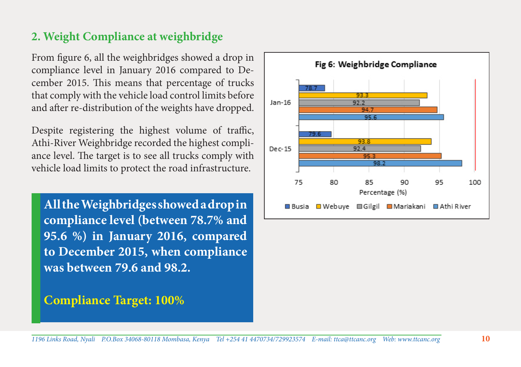#### **2. Weight Compliance at weighbridge**

From figure 6, all the weighbridges showed a drop in compliance level in January 2016 compared to December 2015. This means that percentage of trucks that comply with the vehicle load control limits before and after re-distribution of the weights have dropped.

Despite registering the highest volume of traffic, Athi-River Weighbridge recorded the highest compliance level. The target is to see all trucks comply with vehicle load limits to protect the road infrastructure.

**All the Weighbridges showed a drop in compliance level (between 78.7% and 95.6 %) in January 2016, compared to December 2015, when compliance was between 79.6 and 98.2.**

#### **Compliance Target: 100%**